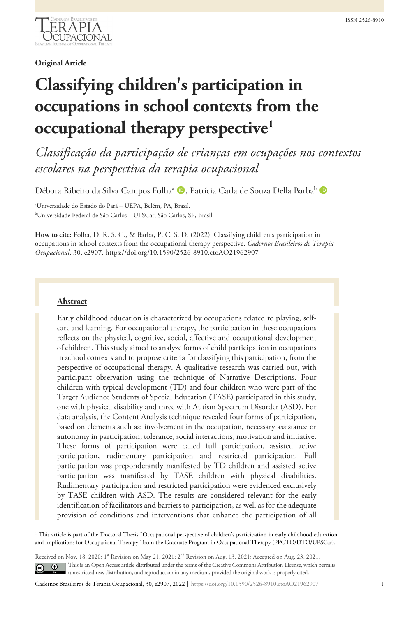

# **Original Article**

# **Classifying children's participation in occupations in school contexts from the occupational therapy perspective[1](#page-0-0)**

*Classificação da participação de crianças em ocupações nos contextos escolares na perspectiva da terapia ocupacional*

Débora Ribeiro da Silva Campos Folha<sup>a</sup> D, Patrícia Carla de Souza Della Barba<sup>b</sup> D

a Universidade do Estado do Pará – UEPA, Belém, PA, Brasil. b Universidade Federal de São Carlos – UFSCar, São Carlos, SP, Brasil.

**How to cite:** Folha, D. R. S. C., & Barba, P. C. S. D. (2022). Classifying children's participation in occupations in school contexts from the occupational therapy perspective. *Cadernos Brasileiros de Terapia Ocupacional*, 30, e2907. https://doi.org/10.1590/2526-8910.ctoAO21962907

# **Abstract**

Early childhood education is characterized by occupations related to playing, selfcare and learning. For occupational therapy, the participation in these occupations reflects on the physical, cognitive, social, affective and occupational development of children. This study aimed to analyze forms of child participation in occupations in school contexts and to propose criteria for classifying this participation, from the perspective of occupational therapy. A qualitative research was carried out, with participant observation using the technique of Narrative Descriptions. Four children with typical development (TD) and four children who were part of the Target Audience Students of Special Education (TASE) participated in this study, one with physical disability and three with Autism Spectrum Disorder (ASD). For data analysis, the Content Analysis technique revealed four forms of participation, based on elements such as: involvement in the occupation, necessary assistance or autonomy in participation, tolerance, social interactions, motivation and initiative. These forms of participation were called full participation, assisted active participation, rudimentary participation and restricted participation. Full participation was preponderantly manifested by TD children and assisted active participation was manifested by TASE children with physical disabilities. Rudimentary participation and restricted participation were evidenced exclusively by TASE children with ASD. The results are considered relevant for the early identification of facilitators and barriers to participation, as well as for the adequate provision of conditions and interventions that enhance the participation of all

<span id="page-0-0"></span><sup>&</sup>lt;sup>1</sup> This article is part of the Doctoral Thesis "Occupational perspective of children's participation in early childhood education and implications for Occupational Therapy" from the Graduate Program in Occupational Therapy (PPGTO/DTO/UFSCar).

Received on Nov. 18, 2020; 1st Revision on May 21, 2021; 2<sup>nd</sup> Revision on Aug. 13, 2021; Accepted on Aug. 23, 2021. This is an Open Access article distributed under the terms of the Creative Commons Attribution License, which permits  $\overline{\mathbb{C}}$ unrestricted use, distribution, and reproduction in any medium, provided the original work is properly cited.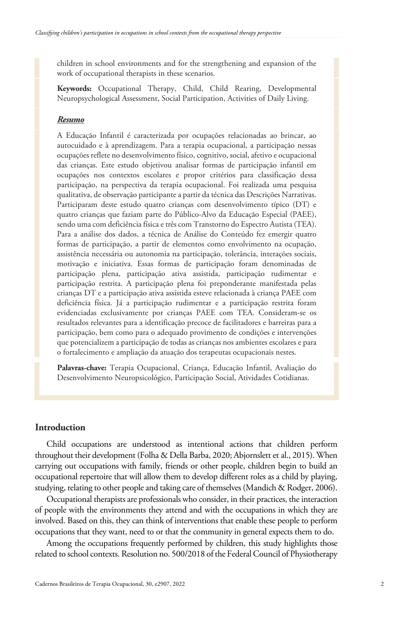children in school environments and for the strengthening and expansion of the work of occupational therapists in these scenarios.

**Keywords:** Occupational Therapy, Child, Child Rearing, Developmental Neuropsychological Assessment, Social Participation, Activities of Daily Living.

# *Resumo*

A Educação Infantil é caracterizada por ocupações relacionadas ao brincar, ao autocuidado e à aprendizagem. Para a terapia ocupacional, a participação nessas ocupações reflete no desenvolvimento físico, cognitivo, social, afetivo e ocupacional das crianças. Este estudo objetivou analisar formas de participação infantil em ocupações nos contextos escolares e propor critérios para classificação dessa participação, na perspectiva da terapia ocupacional. Foi realizada uma pesquisa qualitativa, de observação participante a partir da técnica das Descrições Narrativas. Participaram deste estudo quatro crianças com desenvolvimento típico (DT) e quatro crianças que faziam parte do Público-Alvo da Educação Especial (PAEE), sendo uma com deficiência física e três com Transtorno do Espectro Autista (TEA). Para a análise dos dados, a técnica de Análise do Conteúdo fez emergir quatro formas de participação, a partir de elementos como envolvimento na ocupação, assistência necessária ou autonomia na participação, tolerância, interações sociais, motivação e iniciativa. Essas formas de participação foram denominadas de participação plena, participação ativa assistida, participação rudimentar e participação restrita. A participação plena foi preponderante manifestada pelas crianças DT e a participação ativa assistida esteve relacionada à criança PAEE com deficiência física. Já a participação rudimentar e a participação restrita foram evidenciadas exclusivamente por crianças PAEE com TEA. Consideram-se os resultados relevantes para a identificação precoce de facilitadores e barreiras para a participação, bem como para o adequado provimento de condições e intervenções que potencializem a participação de todas as crianças nos ambientes escolares e para o fortalecimento e ampliação da atuação dos terapeutas ocupacionais nestes.

**Palavras-chave:** Terapia Ocupacional, Criança, Educação Infantil, Avaliação do Desenvolvimento Neuropsicológico, Participação Social, Atividades Cotidianas.

# **Introduction**

Child occupations are understood as intentional actions that children perform throughout their development (Folha & Della Barba, 2020; Abjornslett et al., 2015). When carrying out occupations with family, friends or other people, children begin to build an occupational repertoire that will allow them to develop different roles as a child by playing, studying, relating to other people and taking care of themselves (Mandich & Rodger, 2006).

Occupational therapists are professionals who consider, in their practices, the interaction of people with the environments they attend and with the occupations in which they are involved. Based on this, they can think of interventions that enable these people to perform occupations that they want, need to or that the community in general expects them to do.

Among the occupations frequently performed by children, this study highlights those related to school contexts. Resolution no. 500/2018 of the Federal Council of Physiotherapy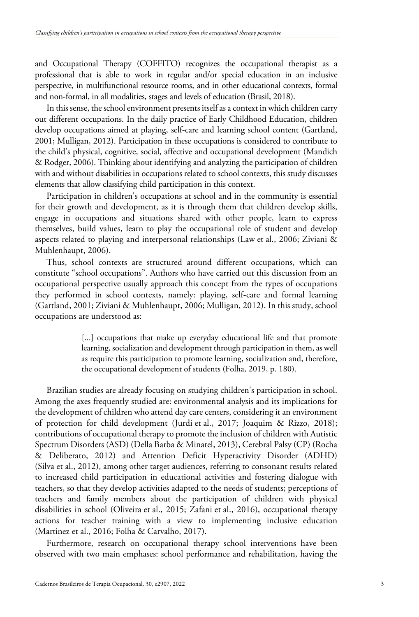and Occupational Therapy (COFFITO) recognizes the occupational therapist as a professional that is able to work in regular and/or special education in an inclusive perspective, in multifunctional resource rooms, and in other educational contexts, formal and non-formal, in all modalities, stages and levels of education (Brasil, 2018).

In this sense, the school environment presents itself as a context in which children carry out different occupations. In the daily practice of Early Childhood Education, children develop occupations aimed at playing, self-care and learning school content (Gartland, 2001; Mulligan, 2012). Participation in these occupations is considered to contribute to the child's physical, cognitive, social, affective and occupational development (Mandich & Rodger, 2006). Thinking about identifying and analyzing the participation of children with and without disabilities in occupations related to school contexts, this study discusses elements that allow classifying child participation in this context.

Participation in children's occupations at school and in the community is essential for their growth and development, as it is through them that children develop skills, engage in occupations and situations shared with other people, learn to express themselves, build values, learn to play the occupational role of student and develop aspects related to playing and interpersonal relationships (Law et al., 2006; Ziviani & Muhlenhaupt, 2006).

Thus, school contexts are structured around different occupations, which can constitute "school occupations". Authors who have carried out this discussion from an occupational perspective usually approach this concept from the types of occupations they performed in school contexts, namely: playing, self-care and formal learning (Gartland, 2001; Ziviani & Muhlenhaupt, 2006; Mulligan, 2012). In this study, school occupations are understood as:

> [...] occupations that make up everyday educational life and that promote learning, socialization and development through participation in them, as well as require this participation to promote learning, socialization and, therefore, the occupational development of students (Folha, 2019, p. 180).

Brazilian studies are already focusing on studying children's participation in school. Among the axes frequently studied are: environmental analysis and its implications for the development of children who attend day care centers, considering it an environment of protection for child development (Jurdi et al., 2017; Joaquim & Rizzo, 2018); contributions of occupational therapy to promote the inclusion of children with Autistic Spectrum Disorders (ASD) (Della Barba & Minatel, 2013), Cerebral Palsy (CP) (Rocha & Deliberato, 2012) and Attention Deficit Hyperactivity Disorder (ADHD) (Silva et al., 2012), among other target audiences, referring to consonant results related to increased child participation in educational activities and fostering dialogue with teachers, so that they develop activities adapted to the needs of students; perceptions of teachers and family members about the participation of children with physical disabilities in school (Oliveira et al., 2015; Zafani et al., 2016), occupational therapy actions for teacher training with a view to implementing inclusive education (Martinez et al., 2016; Folha & Carvalho, 2017).

Furthermore, research on occupational therapy school interventions have been observed with two main emphases: school performance and rehabilitation, having the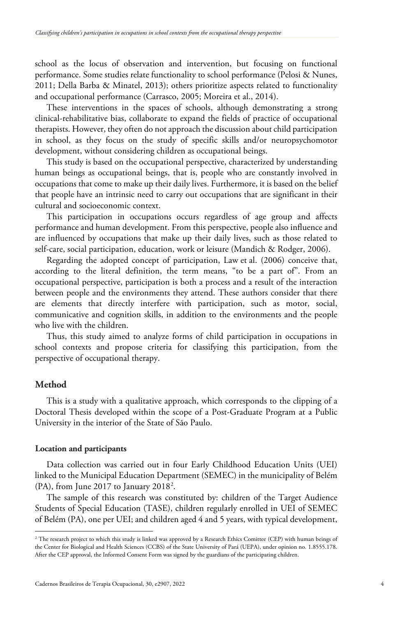school as the locus of observation and intervention, but focusing on functional performance. Some studies relate functionality to school performance (Pelosi & Nunes, 2011; Della Barba & Minatel, 2013); others prioritize aspects related to functionality and occupational performance (Carrasco, 2005; Moreira et al., 2014).

These interventions in the spaces of schools, although demonstrating a strong clinical-rehabilitative bias, collaborate to expand the fields of practice of occupational therapists. However, they often do not approach the discussion about child participation in school, as they focus on the study of specific skills and/or neuropsychomotor development, without considering children as occupational beings.

This study is based on the occupational perspective, characterized by understanding human beings as occupational beings, that is, people who are constantly involved in occupations that come to make up their daily lives. Furthermore, it is based on the belief that people have an intrinsic need to carry out occupations that are significant in their cultural and socioeconomic context.

This participation in occupations occurs regardless of age group and affects performance and human development. From this perspective, people also influence and are influenced by occupations that make up their daily lives, such as those related to self-care, social participation, education, work or leisure (Mandich & Rodger, 2006).

Regarding the adopted concept of participation, Law et al. (2006) conceive that, according to the literal definition, the term means, "to be a part of". From an occupational perspective, participation is both a process and a result of the interaction between people and the environments they attend. These authors consider that there are elements that directly interfere with participation, such as motor, social, communicative and cognition skills, in addition to the environments and the people who live with the children.

Thus, this study aimed to analyze forms of child participation in occupations in school contexts and propose criteria for classifying this participation, from the perspective of occupational therapy.

# **Method**

This is a study with a qualitative approach, which corresponds to the clipping of a Doctoral Thesis developed within the scope of a Post-Graduate Program at a Public University in the interior of the State of São Paulo.

#### **Location and participants**

Data collection was carried out in four Early Childhood Education Units (UEI) linked to the Municipal Education Department (SEMEC) in the municipality of Belém (PA), from June [2](#page-3-0)017 to January 2018<sup>2</sup>.

The sample of this research was constituted by: children of the Target Audience Students of Special Education (TASE), children regularly enrolled in UEI of SEMEC of Belém (PA), one per UEI; and children aged 4 and 5 years, with typical development,

<span id="page-3-0"></span><sup>&</sup>lt;sup>2</sup> The research project to which this study is linked was approved by a Research Ethics Comittee (CEP) with human beings of the Center for Biological and Health Sciences (CCBS) of the State University of Pará (UEPA), under opinion no. 1.8555.178. After the CEP approval, the Informed Consent Form was signed by the guardians of the participating children.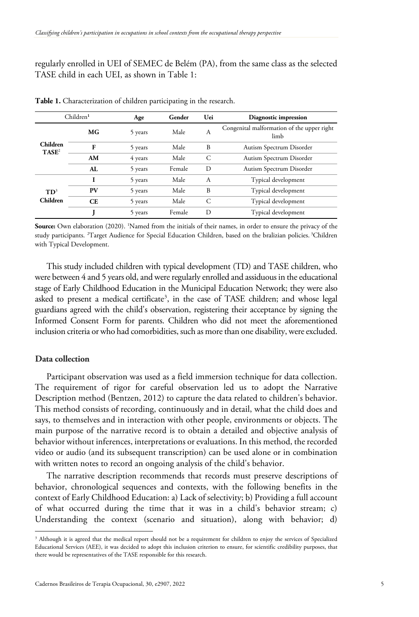regularly enrolled in UEI of SEMEC de Belém (PA), from the same class as the selected TASE child in each UEI, as shown in Table 1:

| Children <sup>1</sup>       |           | Age     | Gender | Uei | Diagnostic impression                              |
|-----------------------------|-----------|---------|--------|-----|----------------------------------------------------|
| <b>Children</b><br>$TASE^2$ | МG        | 5 years | Male   | А   | Congenital malformation of the upper right<br>limb |
|                             | F         | 5 years | Male   | B   | Autism Spectrum Disorder                           |
|                             | AM        | 4 years | Male   | C   | Autism Spectrum Disorder                           |
|                             | AL.       | 5 years | Female | D   | Autism Spectrum Disorder                           |
|                             | I         | 5 years | Male   | А   | Typical development                                |
| $TD^3$<br>Children          | PV        | 5 years | Male   | B   | Typical development                                |
|                             | <b>CE</b> | 5 years | Male   | C   | Typical development                                |
|                             |           | 5 years | Female | D   | Typical development                                |

**Table 1.** Characterization of children participating in the research.

**Source:** Own elaboration (2020). <sup>1</sup> Named from the initials of their names, in order to ensure the privacy of the study participants. <sup>2</sup> Target Audience for Special Education Children, based on the bralizian policies. <sup>3</sup> Children with Typical Development.

This study included children with typical development (TD) and TASE children, who were between 4 and 5 years old, and were regularly enrolled and assiduous in the educational stage of Early Childhood Education in the Municipal Education Network; they were also asked to present a medical certificate<sup>[3](#page-4-0)</sup>, in the case of TASE children; and whose legal guardians agreed with the child's observation, registering their acceptance by signing the Informed Consent Form for parents. Children who did not meet the aforementioned inclusion criteria or who had comorbidities, such as more than one disability, were excluded.

# **Data collection**

Participant observation was used as a field immersion technique for data collection. The requirement of rigor for careful observation led us to adopt the Narrative Description method (Bentzen, 2012) to capture the data related to children's behavior. This method consists of recording, continuously and in detail, what the child does and says, to themselves and in interaction with other people, environments or objects. The main purpose of the narrative record is to obtain a detailed and objective analysis of behavior without inferences, interpretations or evaluations. In this method, the recorded video or audio (and its subsequent transcription) can be used alone or in combination with written notes to record an ongoing analysis of the child's behavior.

The narrative description recommends that records must preserve descriptions of behavior, chronological sequences and contexts, with the following benefits in the context of Early Childhood Education: a) Lack of selectivity; b) Providing a full account of what occurred during the time that it was in a child's behavior stream; c) Understanding the context (scenario and situation), along with behavior; d)

<span id="page-4-0"></span><sup>&</sup>lt;sup>3</sup> Although it is agreed that the medical report should not be a requirement for children to enjoy the services of Specialized Educational Services (AEE), it was decided to adopt this inclusion criterion to ensure, for scientific credibility purposes, that there would be representatives of the TASE responsible for this research.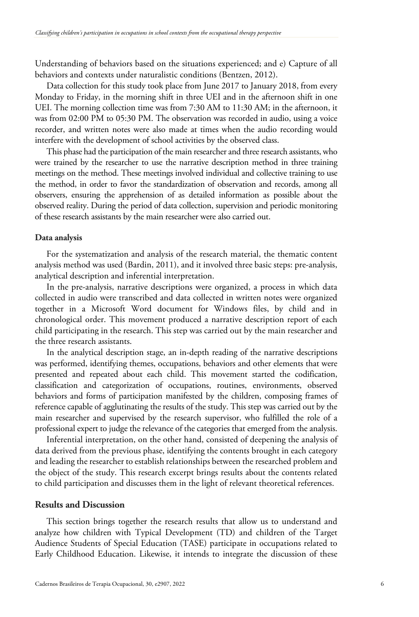Understanding of behaviors based on the situations experienced; and e) Capture of all behaviors and contexts under naturalistic conditions (Bentzen, 2012).

Data collection for this study took place from June 2017 to January 2018, from every Monday to Friday, in the morning shift in three UEI and in the afternoon shift in one UEI. The morning collection time was from 7:30 AM to 11:30 AM; in the afternoon, it was from 02:00 PM to 05:30 PM. The observation was recorded in audio, using a voice recorder, and written notes were also made at times when the audio recording would interfere with the development of school activities by the observed class.

This phase had the participation of the main researcher and three research assistants, who were trained by the researcher to use the narrative description method in three training meetings on the method. These meetings involved individual and collective training to use the method, in order to favor the standardization of observation and records, among all observers, ensuring the apprehension of as detailed information as possible about the observed reality. During the period of data collection, supervision and periodic monitoring of these research assistants by the main researcher were also carried out.

#### **Data analysis**

For the systematization and analysis of the research material, the thematic content analysis method was used (Bardin, 2011), and it involved three basic steps: pre-analysis, analytical description and inferential interpretation.

In the pre-analysis, narrative descriptions were organized, a process in which data collected in audio were transcribed and data collected in written notes were organized together in a Microsoft Word document for Windows files, by child and in chronological order. This movement produced a narrative description report of each child participating in the research. This step was carried out by the main researcher and the three research assistants.

In the analytical description stage, an in-depth reading of the narrative descriptions was performed, identifying themes, occupations, behaviors and other elements that were presented and repeated about each child. This movement started the codification, classification and categorization of occupations, routines, environments, observed behaviors and forms of participation manifested by the children, composing frames of reference capable of agglutinating the results of the study. This step was carried out by the main researcher and supervised by the research supervisor, who fulfilled the role of a professional expert to judge the relevance of the categories that emerged from the analysis.

Inferential interpretation, on the other hand, consisted of deepening the analysis of data derived from the previous phase, identifying the contents brought in each category and leading the researcher to establish relationships between the researched problem and the object of the study. This research excerpt brings results about the contents related to child participation and discusses them in the light of relevant theoretical references.

# **Results and Discussion**

This section brings together the research results that allow us to understand and analyze how children with Typical Development (TD) and children of the Target Audience Students of Special Education (TASE) participate in occupations related to Early Childhood Education. Likewise, it intends to integrate the discussion of these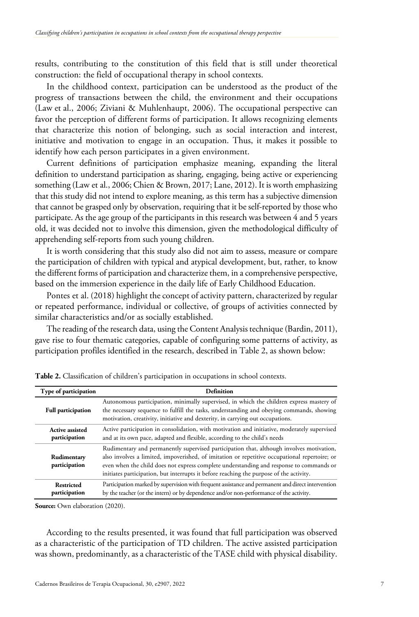results, contributing to the constitution of this field that is still under theoretical construction: the field of occupational therapy in school contexts.

In the childhood context, participation can be understood as the product of the progress of transactions between the child, the environment and their occupations (Law et al., 2006; Ziviani & Muhlenhaupt, 2006). The occupational perspective can favor the perception of different forms of participation. It allows recognizing elements that characterize this notion of belonging, such as social interaction and interest, initiative and motivation to engage in an occupation. Thus, it makes it possible to identify how each person participates in a given environment.

Current definitions of participation emphasize meaning, expanding the literal definition to understand participation as sharing, engaging, being active or experiencing something (Law et al., 2006; Chien & Brown, 2017; Lane, 2012). It is worth emphasizing that this study did not intend to explore meaning, as this term has a subjective dimension that cannot be grasped only by observation, requiring that it be self-reported by those who participate. As the age group of the participants in this research was between 4 and 5 years old, it was decided not to involve this dimension, given the methodological difficulty of apprehending self-reports from such young children.

It is worth considering that this study also did not aim to assess, measure or compare the participation of children with typical and atypical development, but, rather, to know the different forms of participation and characterize them, in a comprehensive perspective, based on the immersion experience in the daily life of Early Childhood Education.

Pontes et al. (2018) highlight the concept of activity pattern, characterized by regular or repeated performance, individual or collective, of groups of activities connected by similar characteristics and/or as socially established.

The reading of the research data, using the Content Analysis technique (Bardin, 2011), gave rise to four thematic categories, capable of configuring some patterns of activity, as participation profiles identified in the research, described in Table 2, as shown below:

| Type of participation                   | <b>Definition</b><br>Autonomous participation, minimally supervised, in which the children express mastery of<br>the necessary sequence to fulfill the tasks, understanding and obeying commands, showing<br>motivation, creativity, initiative and dexterity, in carrying out occupations.                                                                                     |  |  |  |  |
|-----------------------------------------|---------------------------------------------------------------------------------------------------------------------------------------------------------------------------------------------------------------------------------------------------------------------------------------------------------------------------------------------------------------------------------|--|--|--|--|
| <b>Full participation</b>               |                                                                                                                                                                                                                                                                                                                                                                                 |  |  |  |  |
| <b>Active assisted</b><br>participation | Active participation in consolidation, with motivation and initiative, moderately supervised<br>and at its own pace, adapted and flexible, according to the child's needs                                                                                                                                                                                                       |  |  |  |  |
| Rudimentary<br>participation            | Rudimentary and permanently supervised participation that, although involves motivation,<br>also involves a limited, impoverished, of imitation or repetitive occupational repertoire; or<br>even when the child does not express complete understanding and response to commands or<br>initiates participation, but interrupts it before reaching the purpose of the activity. |  |  |  |  |
| Restricted<br>participation             | Participation marked by supervision with frequent assistance and permanent and direct intervention<br>by the teacher (or the intern) or by dependence and/or non-performance of the activity.                                                                                                                                                                                   |  |  |  |  |

**Table 2.** Classification of children's participation in occupations in school contexts.

**Source:** Own elaboration (2020).

According to the results presented, it was found that full participation was observed as a characteristic of the participation of TD children. The active assisted participation was shown, predominantly, as a characteristic of the TASE child with physical disability.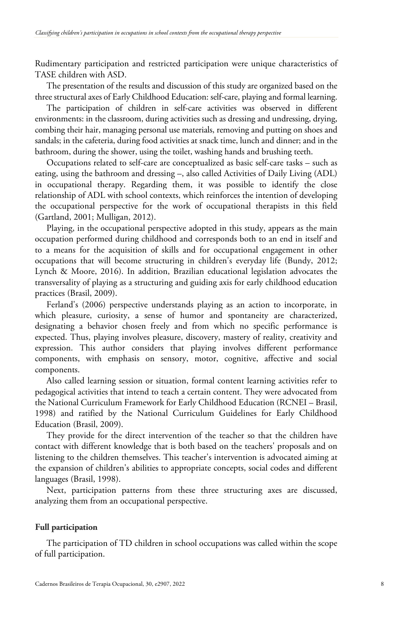Rudimentary participation and restricted participation were unique characteristics of TASE children with ASD.

The presentation of the results and discussion of this study are organized based on the three structural axes of Early Childhood Education: self-care, playing and formal learning.

The participation of children in self-care activities was observed in different environments: in the classroom, during activities such as dressing and undressing, drying, combing their hair, managing personal use materials, removing and putting on shoes and sandals; in the cafeteria, during food activities at snack time, lunch and dinner; and in the bathroom, during the shower, using the toilet, washing hands and brushing teeth.

Occupations related to self-care are conceptualized as basic self-care tasks – such as eating, using the bathroom and dressing –, also called Activities of Daily Living (ADL) in occupational therapy. Regarding them, it was possible to identify the close relationship of ADL with school contexts, which reinforces the intention of developing the occupational perspective for the work of occupational therapists in this field (Gartland, 2001; Mulligan, 2012).

Playing, in the occupational perspective adopted in this study, appears as the main occupation performed during childhood and corresponds both to an end in itself and to a means for the acquisition of skills and for occupational engagement in other occupations that will become structuring in children's everyday life (Bundy, 2012; Lynch & Moore, 2016). In addition, Brazilian educational legislation advocates the transversality of playing as a structuring and guiding axis for early childhood education practices (Brasil, 2009).

Ferland's (2006) perspective understands playing as an action to incorporate, in which pleasure, curiosity, a sense of humor and spontaneity are characterized, designating a behavior chosen freely and from which no specific performance is expected. Thus, playing involves pleasure, discovery, mastery of reality, creativity and expression. This author considers that playing involves different performance components, with emphasis on sensory, motor, cognitive, affective and social components.

Also called learning session or situation, formal content learning activities refer to pedagogical activities that intend to teach a certain content. They were advocated from the National Curriculum Framework for Early Childhood Education (RCNEI – Brasil, 1998) and ratified by the National Curriculum Guidelines for Early Childhood Education (Brasil, 2009).

They provide for the direct intervention of the teacher so that the children have contact with different knowledge that is both based on the teachers' proposals and on listening to the children themselves. This teacher's intervention is advocated aiming at the expansion of children's abilities to appropriate concepts, social codes and different languages (Brasil, 1998).

Next, participation patterns from these three structuring axes are discussed, analyzing them from an occupational perspective.

#### **Full participation**

The participation of TD children in school occupations was called within the scope of full participation.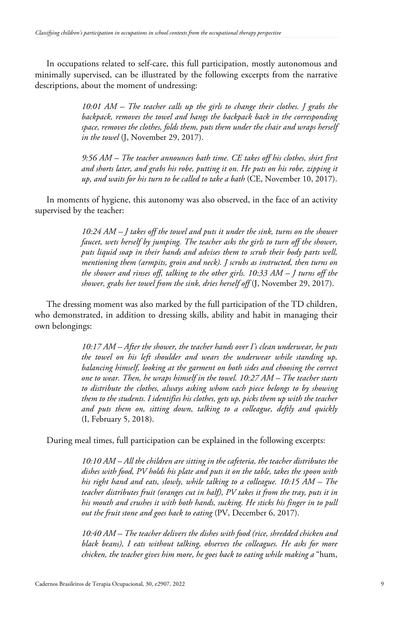In occupations related to self-care, this full participation, mostly autonomous and minimally supervised, can be illustrated by the following excerpts from the narrative descriptions, about the moment of undressing:

> *10:01 AM – The teacher calls up the girls to change their clothes. J grabs the backpack, removes the towel and hangs the backpack back in the corresponding space, removes the clothes, folds them, puts them under the chair and wraps herself in the towel* (J, November 29, 2017).

> *9:56 AM – The teacher announces bath time. CE takes off his clothes, shirt first and shorts later, and grabs his robe, putting it on. He puts on his robe, zipping it up, and waits for his turn to be called to take a bath* (CE, November 10, 2017).

In moments of hygiene, this autonomy was also observed, in the face of an activity supervised by the teacher:

> *10:24 AM – J takes off the towel and puts it under the sink, turns on the shower faucet, wets herself by jumping. The teacher asks the girls to turn off the shower, puts liquid soap in their hands and advises them to scrub their body parts well, mentioning them (armpits, groin and neck). J scrubs as instructed, then turns on the shower and rinses off, talking to the other girls. 10:33 AM – J turns off the shower, grabs her towel from the sink, dries herself off* (J, November 29, 2017).

The dressing moment was also marked by the full participation of the TD children, who demonstrated, in addition to dressing skills, ability and habit in managing their own belongings:

> *10:17 AM – After the shower, the teacher hands over I's clean underwear, he puts the towel on his left shoulder and wears the underwear while standing up, balancing himself, looking at the garment on both sides and choosing the correct one to wear. Then, he wraps himself in the towel. 10:27 AM – The teacher starts to distribute the clothes, always asking whom each piece belongs to by showing them to the students. I identifies his clothes, gets up, picks them up with the teacher and puts them on, sitting down, talking to a colleague, deftly and quickly* (I, February 5, 2018).

During meal times, full participation can be explained in the following excerpts:

*10:10 AM – All the children are sitting in the cafeteria, the teacher distributes the dishes with food, PV holds his plate and puts it on the table, takes the spoon with his right hand and eats, slowly, while talking to a colleague. 10:15 AM – The teacher distributes fruit (oranges cut in half), PV takes it from the tray, puts it in his mouth and crushes it with both hands, sucking. He sticks his finger in to pull out the fruit stone and goes back to eating* (PV, December 6, 2017).

*10:40 AM – The teacher delivers the dishes with food (rice, shredded chicken and black beans), I eats without talking, observes the colleagues. He asks for more chicken, the teacher gives him more, he goes back to eating while making a* "hum,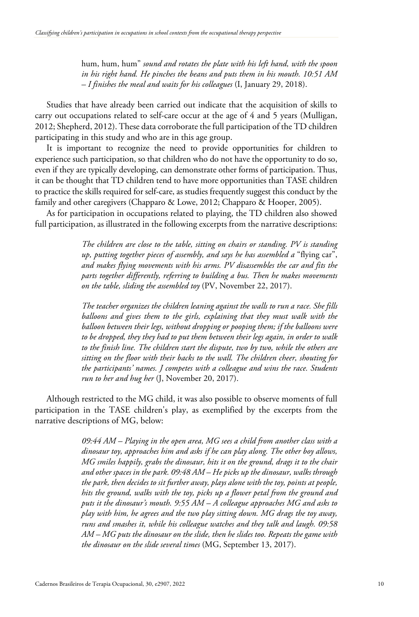hum, hum, hum" *sound and rotates the plate with his left hand, with the spoon in his right hand. He pinches the beans and puts them in his mouth. 10:51 AM – I finishes the meal and waits for his colleagues* (I, January 29, 2018).

Studies that have already been carried out indicate that the acquisition of skills to carry out occupations related to self-care occur at the age of 4 and 5 years (Mulligan, 2012; Shepherd, 2012). These data corroborate the full participation of the TD children participating in this study and who are in this age group.

It is important to recognize the need to provide opportunities for children to experience such participation, so that children who do not have the opportunity to do so, even if they are typically developing, can demonstrate other forms of participation. Thus, it can be thought that TD children tend to have more opportunities than TASE children to practice the skills required for self-care, as studies frequently suggest this conduct by the family and other caregivers (Chapparo & Lowe, 2012; Chapparo & Hooper, 2005).

As for participation in occupations related to playing, the TD children also showed full participation, as illustrated in the following excerpts from the narrative descriptions:

> *The children are close to the table, sitting on chairs or standing. PV is standing up, putting together pieces of assembly, and says he has assembled a* "flying car", *and makes flying movements with his arms. PV disassembles the car and fits the parts together differently, referring to building a bus. Then he makes movements on the table, sliding the assembled toy* (PV, November 22, 2017).

> *The teacher organizes the children leaning against the walls to run a race. She fills balloons and gives them to the girls, explaining that they must walk with the balloon between their legs, without dropping or pooping them; if the balloons were to be dropped, they they had to put them between their legs again, in order to walk to the finish line. The children start the dispute, two by two, while the others are sitting on the floor with their backs to the wall. The children cheer, shouting for the participants' names. J competes with a colleague and wins the race. Students run to her and hug her* (J, November 20, 2017).

Although restricted to the MG child, it was also possible to observe moments of full participation in the TASE children's play, as exemplified by the excerpts from the narrative descriptions of MG, below:

> *09:44 AM – Playing in the open area, MG sees a child from another class with a dinosaur toy, approaches him and asks if he can play along. The other boy allows, MG smiles happily, grabs the dinosaur, hits it on the ground, drags it to the chair and other spaces in the park. 09:48 AM – He picks up the dinosaur, walks through the park, then decides to sit further away, plays alone with the toy, points at people, hits the ground, walks with the toy, picks up a flower petal from the ground and puts it the dinosaur's mouth. 9:55 AM – A colleague approaches MG and asks to play with him, he agrees and the two play sitting down. MG drags the toy away, runs and smashes it, while his colleague watches and they talk and laugh. 09:58 AM – MG puts the dinosaur on the slide, then he slides too. Repeats the game with the dinosaur on the slide several times* (MG, September 13, 2017).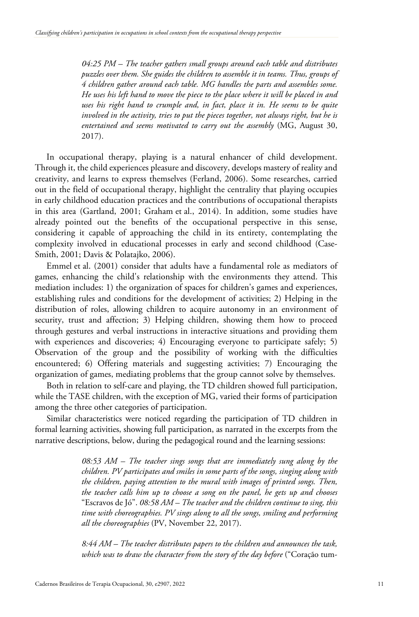*04:25 PM – The teacher gathers small groups around each table and distributes puzzles over them. She guides the children to assemble it in teams. Thus, groups of 4 children gather around each table. MG handles the parts and assembles some. He uses his left hand to move the piece to the place where it will be placed in and uses his right hand to crumple and, in fact, place it in. He seems to be quite involved in the activity, tries to put the pieces together, not always right, but he is entertained and seems motivated to carry out the assembly* (MG, August 30, 2017).

In occupational therapy, playing is a natural enhancer of child development. Through it, the child experiences pleasure and discovery, develops mastery of reality and creativity, and learns to express themselves (Ferland, 2006). Some researches, carried out in the field of occupational therapy, highlight the centrality that playing occupies in early childhood education practices and the contributions of occupational therapists in this area (Gartland, 2001; Graham et al., 2014). In addition, some studies have already pointed out the benefits of the occupational perspective in this sense, considering it capable of approaching the child in its entirety, contemplating the complexity involved in educational processes in early and second childhood (Case-Smith, 2001; Davis & Polatajko, 2006).

Emmel et al. (2001) consider that adults have a fundamental role as mediators of games, enhancing the child's relationship with the environments they attend. This mediation includes: 1) the organization of spaces for children's games and experiences, establishing rules and conditions for the development of activities; 2) Helping in the distribution of roles, allowing children to acquire autonomy in an environment of security, trust and affection; 3) Helping children, showing them how to proceed through gestures and verbal instructions in interactive situations and providing them with experiences and discoveries; 4) Encouraging everyone to participate safely; 5) Observation of the group and the possibility of working with the difficulties encountered; 6) Offering materials and suggesting activities; 7) Encouraging the organization of games, mediating problems that the group cannot solve by themselves.

Both in relation to self-care and playing, the TD children showed full participation, while the TASE children, with the exception of MG, varied their forms of participation among the three other categories of participation.

Similar characteristics were noticed regarding the participation of TD children in formal learning activities, showing full participation, as narrated in the excerpts from the narrative descriptions, below, during the pedagogical round and the learning sessions:

> *08:53 AM – The teacher sings songs that are immediately sung along by the children. PV participates and smiles in some parts of the songs, singing along with the children, paying attention to the mural with images of printed songs. Then, the teacher calls him up to choose a song on the panel, he gets up and chooses* "Escravos de Jó". *08:58 AM – The teacher and the children continue to sing, this time with choreographies. PV sings along to all the songs, smiling and performing all the choreographies* (PV, November 22, 2017).

> *8:44 AM – The teacher distributes papers to the children and announces the task, which was to draw the character from the story of the day before* ("Coração tum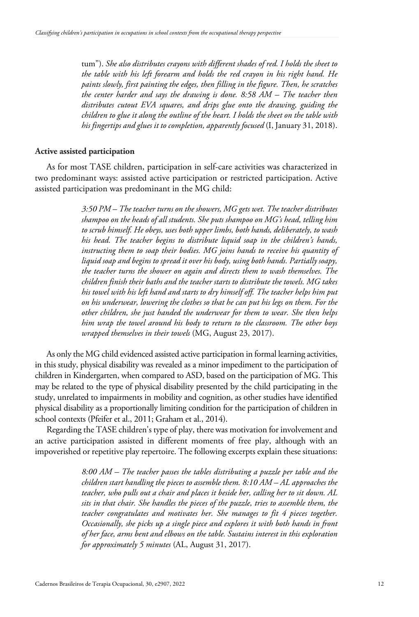tum"). *She also distributes crayons with different shades of red. I holds the sheet to the table with his left forearm and holds the red crayon in his right hand. He paints slowly, first painting the edges, then filling in the figure. Then, he scratches the center harder and says the drawing is done. 8:58 AM – The teacher then distributes cutout EVA squares, and drips glue onto the drawing, guiding the children to glue it along the outline of the heart. I holds the sheet on the table with his fingertips and glues it to completion, apparently focused* (I, January 31, 2018).

#### **Active assisted participation**

As for most TASE children, participation in self-care activities was characterized in two predominant ways: assisted active participation or restricted participation. Active assisted participation was predominant in the MG child:

> *3:50 PM – The teacher turns on the showers, MG gets wet. The teacher distributes shampoo on the heads of all students. She puts shampoo on MG's head, telling him to scrub himself. He obeys, uses both upper limbs, both hands, deliberately, to wash his head. The teacher begins to distribute liquid soap in the children's hands, instructing them to soap their bodies. MG joins hands to receive his quantity of liquid soap and begins to spread it over his body, using both hands. Partially soapy, the teacher turns the shower on again and directs them to wash themselves. The children finish their baths and the teacher starts to distribute the towels. MG takes his towel with his left hand and starts to dry himself off. The teacher helps him put on his underwear, lowering the clothes so that he can put his legs on them. For the other children, she just handed the underwear for them to wear. She then helps him wrap the towel around his body to return to the classroom. The other boys wrapped themselves in their towels* (MG, August 23, 2017).

As only the MG child evidenced assisted active participation in formal learning activities, in this study, physical disability was revealed as a minor impediment to the participation of children in Kindergarten, when compared to ASD, based on the participation of MG. This may be related to the type of physical disability presented by the child participating in the study, unrelated to impairments in mobility and cognition, as other studies have identified physical disability as a proportionally limiting condition for the participation of children in school contexts (Pfeifer et al., 2011; Graham et al., 2014).

Regarding the TASE children's type of play, there was motivation for involvement and an active participation assisted in different moments of free play, although with an impoverished or repetitive play repertoire. The following excerpts explain these situations:

> *8:00 AM – The teacher passes the tables distributing a puzzle per table and the children start handling the pieces to assemble them. 8:10 AM – AL approaches the teacher, who pulls out a chair and places it beside her, calling her to sit down. AL sits in that chair. She handles the pieces of the puzzle, tries to assemble them, the teacher congratulates and motivates her. She manages to fit 4 pieces together. Occasionally, she picks up a single piece and explores it with both hands in front of her face, arms bent and elbows on the table. Sustains interest in this exploration for approximately 5 minutes* (AL, August 31, 2017).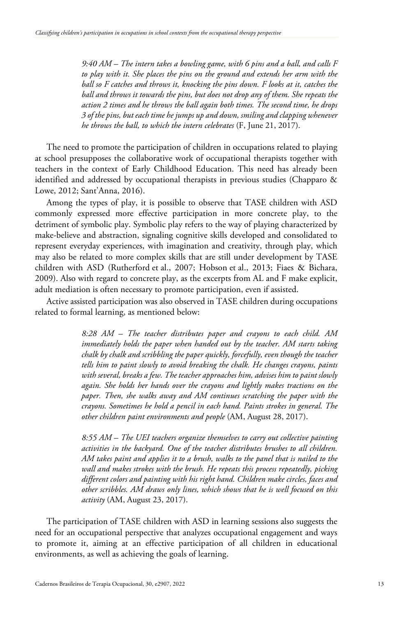*9:40 AM – The intern takes a bowling game, with 6 pins and a ball, and calls F to play with it. She places the pins on the ground and extends her arm with the ball so F catches and throws it, knocking the pins down. F looks at it, catches the ball and throws it towards the pins, but does not drop any of them. She repeats the action 2 times and he throws the ball again both times. The second time, he drops 3 of the pins, but each time he jumps up and down, smiling and clapping whenever he throws the ball, to which the intern celebrates* (F, June 21, 2017).

The need to promote the participation of children in occupations related to playing at school presupposes the collaborative work of occupational therapists together with teachers in the context of Early Childhood Education. This need has already been identified and addressed by occupational therapists in previous studies (Chapparo & Lowe, 2012; Sant'Anna, 2016).

Among the types of play, it is possible to observe that TASE children with ASD commonly expressed more effective participation in more concrete play, to the detriment of symbolic play. Symbolic play refers to the way of playing characterized by make-believe and abstraction, signaling cognitive skills developed and consolidated to represent everyday experiences, with imagination and creativity, through play, which may also be related to more complex skills that are still under development by TASE children with ASD (Rutherford et al., 2007; Hobson et al., 2013; Fiaes & Bichara, 2009). Also with regard to concrete play, as the excerpts from AL and F make explicit, adult mediation is often necessary to promote participation, even if assisted.

Active assisted participation was also observed in TASE children during occupations related to formal learning, as mentioned below:

> *8:28 AM – The teacher distributes paper and crayons to each child. AM immediately holds the paper when handed out by the teacher. AM starts taking chalk by chalk and scribbling the paper quickly, forcefully, even though the teacher tells him to paint slowly to avoid breaking the chalk. He changes crayons, paints with several, breaks a few. The teacher approaches him, advises him to paint slowly again. She holds her hands over the crayons and lightly makes tractions on the paper. Then, she walks away and AM continues scratching the paper with the crayons. Sometimes he hold a pencil in each hand. Paints strokes in general. The other children paint environments and people* (AM, August 28, 2017).

> *8:55 AM – The UEI teachers organize themselves to carry out collective painting activities in the backyard. One of the teacher distributes brushes to all children. AM takes paint and applies it to a brush, walks to the panel that is nailed to the wall and makes strokes with the brush. He repeats this process repeatedly, picking different colors and painting with his right hand. Children make circles, faces and other scribbles. AM draws only lines, which shows that he is well focused on this activity* (AM, August 23, 2017).

The participation of TASE children with ASD in learning sessions also suggests the need for an occupational perspective that analyzes occupational engagement and ways to promote it, aiming at an effective participation of all children in educational environments, as well as achieving the goals of learning.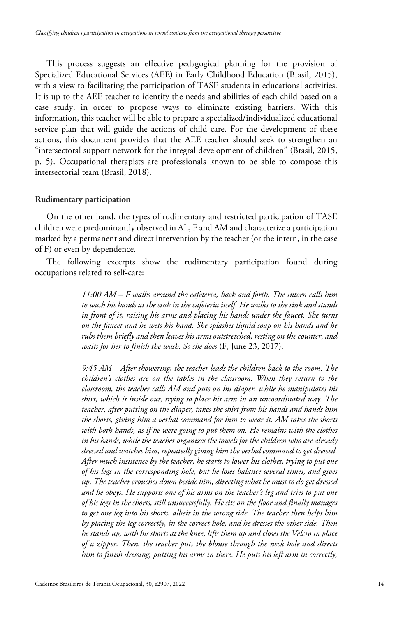This process suggests an effective pedagogical planning for the provision of Specialized Educational Services (AEE) in Early Childhood Education (Brasil, 2015), with a view to facilitating the participation of TASE students in educational activities. It is up to the AEE teacher to identify the needs and abilities of each child based on a case study, in order to propose ways to eliminate existing barriers. With this information, this teacher will be able to prepare a specialized/individualized educational service plan that will guide the actions of child care. For the development of these actions, this document provides that the AEE teacher should seek to strengthen an "intersectoral support network for the integral development of children" (Brasil, 2015, p. 5). Occupational therapists are professionals known to be able to compose this intersectorial team (Brasil, 2018).

#### **Rudimentary participation**

On the other hand, the types of rudimentary and restricted participation of TASE children were predominantly observed in AL, F and AM and characterize a participation marked by a permanent and direct intervention by the teacher (or the intern, in the case of F) or even by dependence.

The following excerpts show the rudimentary participation found during occupations related to self-care:

> *11:00 AM – F walks around the cafeteria, back and forth. The intern calls him to wash his hands at the sink in the cafeteria itself. He walks to the sink and stands in front of it, raising his arms and placing his hands under the faucet. She turns on the faucet and he wets his hand. She splashes liquid soap on his hands and he rubs them briefly and then leaves his arms outstretched, resting on the counter, and waits for her to finish the wash. So she does* (F, June 23, 2017).

> *9:45 AM – After showering, the teacher leads the children back to the room. The children's clothes are on the tables in the classroom. When they return to the classroom, the teacher calls AM and puts on his diaper, while he manipulates his shirt, which is inside out, trying to place his arm in an uncoordinated way. The teacher, after putting on the diaper, takes the shirt from his hands and hands him the shorts, giving him a verbal command for him to wear it. AM takes the shorts with both hands, as if he were going to put them on. He remains with the clothes in his hands, while the teacher organizes the towels for the children who are already dressed and watches him, repeatedly giving him the verbal command to get dressed. After much insistence by the teacher, he starts to lower his clothes, trying to put one of his legs in the corresponding hole, but he loses balance several times, and gives up. The teacher crouches down beside him, directing what he must to do get dressed and he obeys. He supports one of his arms on the teacher's leg and tries to put one of his legs in the shorts, still unsuccessfully. He sits on the floor and finally manages to get one leg into his shorts, albeit in the wrong side. The teacher then helps him by placing the leg correctly, in the correct hole, and he dresses the other side. Then he stands up, with his shorts at the knee, lifts them up and closes the Velcro in place of a zipper. Then, the teacher puts the blouse through the neck hole and directs him to finish dressing, putting his arms in there. He puts his left arm in correctly,*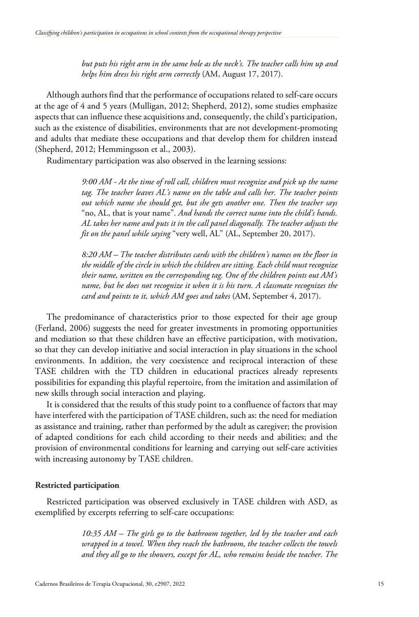*but puts his right arm in the same hole as the neck's. The teacher calls him up and helps him dress his right arm correctly* (AM, August 17, 2017).

Although authors find that the performance of occupations related to self-care occurs at the age of 4 and 5 years (Mulligan, 2012; Shepherd, 2012), some studies emphasize aspects that can influence these acquisitions and, consequently, the child's participation, such as the existence of disabilities, environments that are not development-promoting and adults that mediate these occupations and that develop them for children instead (Shepherd, 2012; Hemmingsson et al., 2003).

Rudimentary participation was also observed in the learning sessions:

*9:00 AM - At the time of roll call, children must recognize and pick up the name tag. The teacher leaves AL's name on the table and calls her. The teacher points out which name she should get, but she gets another one. Then the teacher says* "no, AL, that is your name". *And hands the correct name into the child's hands. AL takes her name and puts it in the call panel diagonally. The teacher adjusts the fit on the panel while saying* "very well, AL" (AL, September 20, 2017).

*8:20 AM – The teacher distributes cards with the children's names on the floor in the middle of the circle in which the children are sitting. Each child must recognize their name, written on the corresponding tag. One of the children points out AM's name, but he does not recognize it when it is his turn. A classmate recognizes the card and points to it, which AM goes and takes* (AM, September 4, 2017).

The predominance of characteristics prior to those expected for their age group (Ferland, 2006) suggests the need for greater investments in promoting opportunities and mediation so that these children have an effective participation, with motivation, so that they can develop initiative and social interaction in play situations in the school environments. In addition, the very coexistence and reciprocal interaction of these TASE children with the TD children in educational practices already represents possibilities for expanding this playful repertoire, from the imitation and assimilation of new skills through social interaction and playing.

It is considered that the results of this study point to a confluence of factors that may have interfered with the participation of TASE children, such as: the need for mediation as assistance and training, rather than performed by the adult as caregiver; the provision of adapted conditions for each child according to their needs and abilities; and the provision of environmental conditions for learning and carrying out self-care activities with increasing autonomy by TASE children.

#### **Restricted participation**

Restricted participation was observed exclusively in TASE children with ASD, as exemplified by excerpts referring to self-care occupations:

> *10:35 AM – The girls go to the bathroom together, led by the teacher and each wrapped in a towel. When they reach the bathroom, the teacher collects the towels and they all go to the showers, except for AL, who remains beside the teacher. The*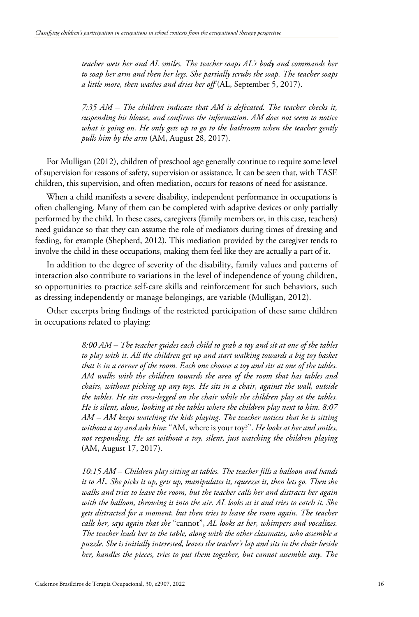*teacher wets her and AL smiles. The teacher soaps AL's body and commands her to soap her arm and then her legs. She partially scrubs the soap. The teacher soaps a little more, then washes and dries her off* (AL, September 5, 2017).

*7:35 AM – The children indicate that AM is defecated. The teacher checks it, suspending his blouse, and confirms the information. AM does not seem to notice what is going on. He only gets up to go to the bathroom when the teacher gently pulls him by the arm* (AM, August 28, 2017).

For Mulligan (2012), children of preschool age generally continue to require some level of supervision for reasons of safety, supervision or assistance. It can be seen that, with TASE children, this supervision, and often mediation, occurs for reasons of need for assistance.

When a child manifests a severe disability, independent performance in occupations is often challenging. Many of them can be completed with adaptive devices or only partially performed by the child. In these cases, caregivers (family members or, in this case, teachers) need guidance so that they can assume the role of mediators during times of dressing and feeding, for example (Shepherd, 2012). This mediation provided by the caregiver tends to involve the child in these occupations, making them feel like they are actually a part of it.

In addition to the degree of severity of the disability, family values and patterns of interaction also contribute to variations in the level of independence of young children, so opportunities to practice self-care skills and reinforcement for such behaviors, such as dressing independently or manage belongings, are variable (Mulligan, 2012).

Other excerpts bring findings of the restricted participation of these same children in occupations related to playing:

> *8:00 AM – The teacher guides each child to grab a toy and sit at one of the tables to play with it. All the children get up and start walking towards a big toy basket that is in a corner of the room. Each one chooses a toy and sits at one of the tables. AM walks with the children towards the area of the room that has tables and chairs, without picking up any toys. He sits in a chair, against the wall, outside the tables. He sits cross-legged on the chair while the children play at the tables. He is silent, alone, looking at the tables where the children play next to him. 8:07 AM – AM keeps watching the kids playing. The teacher notices that he is sitting without a toy and asks him*: "AM, where is your toy?". *He looks at her and smiles, not responding. He sat without a toy, silent, just watching the children playing* (AM, August 17, 2017).

> *10:15 AM – Children play sitting at tables. The teacher fills a balloon and hands it to AL. She picks it up, gets up, manipulates it, squeezes it, then lets go. Then she walks and tries to leave the room, but the teacher calls her and distracts her again with the balloon, throwing it into the air. AL looks at it and tries to catch it. She gets distracted for a moment, but then tries to leave the room again. The teacher calls her, says again that she* "cannot", *AL looks at her, whimpers and vocalizes. The teacher leads her to the table, along with the other classmates, who assemble a puzzle. She is initially interested, leaves the teacher's lap and sits in the chair beside her, handles the pieces, tries to put them together, but cannot assemble any. The*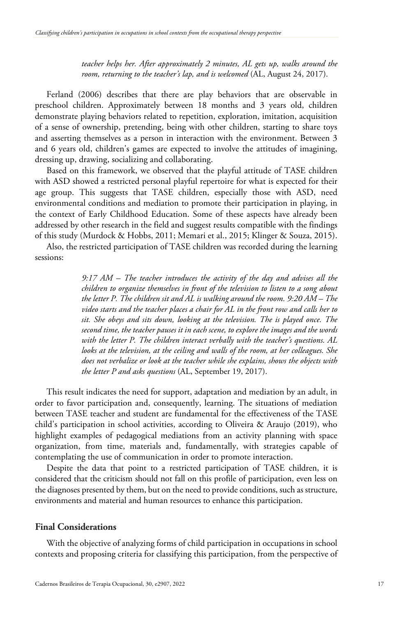*teacher helps her. After approximately 2 minutes, AL gets up, walks around the room, returning to the teacher's lap, and is welcomed* (AL, August 24, 2017).

Ferland (2006) describes that there are play behaviors that are observable in preschool children. Approximately between 18 months and 3 years old, children demonstrate playing behaviors related to repetition, exploration, imitation, acquisition of a sense of ownership, pretending, being with other children, starting to share toys and asserting themselves as a person in interaction with the environment. Between 3 and 6 years old, children's games are expected to involve the attitudes of imagining, dressing up, drawing, socializing and collaborating.

Based on this framework, we observed that the playful attitude of TASE children with ASD showed a restricted personal playful repertoire for what is expected for their age group. This suggests that TASE children, especially those with ASD, need environmental conditions and mediation to promote their participation in playing, in the context of Early Childhood Education. Some of these aspects have already been addressed by other research in the field and suggest results compatible with the findings of this study (Murdock & Hobbs, 2011; Memari et al., 2015; Klinger & Souza, 2015).

Also, the restricted participation of TASE children was recorded during the learning sessions:

> *9:17 AM – The teacher introduces the activity of the day and advises all the children to organize themselves in front of the television to listen to a song about the letter P. The children sit and AL is walking around the room. 9:20 AM – The video starts and the teacher places a chair for AL in the front row and calls her to sit. She obeys and sits down, looking at the television. The is played once. The second time, the teacher pauses it in each scene, to explore the images and the words with the letter P. The children interact verbally with the teacher's questions. AL looks at the television, at the ceiling and walls of the room, at her colleagues. She does not verbalize or look at the teacher while she explains, shows the objects with the letter P and asks questions* (AL, September 19, 2017).

This result indicates the need for support, adaptation and mediation by an adult, in order to favor participation and, consequently, learning. The situations of mediation between TASE teacher and student are fundamental for the effectiveness of the TASE child's participation in school activities, according to Oliveira & Araujo (2019), who highlight examples of pedagogical mediations from an activity planning with space organization, from time, materials and, fundamentally, with strategies capable of contemplating the use of communication in order to promote interaction.

Despite the data that point to a restricted participation of TASE children, it is considered that the criticism should not fall on this profile of participation, even less on the diagnoses presented by them, but on the need to provide conditions, such as structure, environments and material and human resources to enhance this participation.

# **Final Considerations**

With the objective of analyzing forms of child participation in occupations in school contexts and proposing criteria for classifying this participation, from the perspective of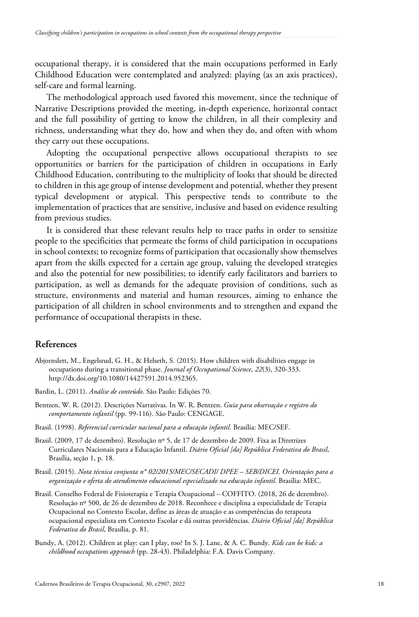occupational therapy, it is considered that the main occupations performed in Early Childhood Education were contemplated and analyzed: playing (as an axis practices), self-care and formal learning.

The methodological approach used favored this movement, since the technique of Narrative Descriptions provided the meeting, in-depth experience, horizontal contact and the full possibility of getting to know the children, in all their complexity and richness, understanding what they do, how and when they do, and often with whom they carry out these occupations.

Adopting the occupational perspective allows occupational therapists to see opportunities or barriers for the participation of children in occupations in Early Childhood Education, contributing to the multiplicity of looks that should be directed to children in this age group of intense development and potential, whether they present typical development or atypical. This perspective tends to contribute to the implementation of practices that are sensitive, inclusive and based on evidence resulting from previous studies.

It is considered that these relevant results help to trace paths in order to sensitize people to the specificities that permeate the forms of child participation in occupations in school contexts; to recognize forms of participation that occasionally show themselves apart from the skills expected for a certain age group, valuing the developed strategies and also the potential for new possibilities; to identify early facilitators and barriers to participation, as well as demands for the adequate provision of conditions, such as structure, environments and material and human resources, aiming to enhance the participation of all children in school environments and to strengthen and expand the performance of occupational therapists in these.

# **References**

- Abjornslett, M., Engelsrud, G. H., & Helseth, S. (2015). How children with disabilities engage in occupations during a transitional phase. *Journal of Occupational Science*, *22*(3), 320-333. http://dx.doi.org/10.1080/14427591.2014.952365.
- Bardin, L. (2011). *Análise de conteúdo*. São Paulo: Edições 70.
- Bentzen, W. R. (2012). Descrições Narrativas. In W. R. Bentzen. *Guia para observação e registro do comportamento infantil* (pp. 99-116). São Paulo: CENGAGE.
- Brasil. (1998). *Referencial curricular nacional para a educação infantil.* Brasília: MEC/SEF.
- Brasil. (2009, 17 de dezembro). Resolução nº 5, de 17 de dezembro de 2009. Fixa as Diretrizes Curriculares Nacionais para a Educação Infantil. *Diário Oficial [da] República Federativa do Brasil*, Brasília, seção 1, p. 18.
- Brasil. (2015). *Nota técnica conjunta n° 02/2015/MEC/SECADI/ DPEE – SEB/DICEI. Orientações para a organização e oferta do atendimento educacional especializado na educação infantil*. Brasília: MEC.
- Brasil. Conselho Federal de Fisioterapia e Terapia Ocupacional COFFITO. (2018, 26 de dezembro). Resolução nº 500, de 26 de dezembro de 2018. Reconhece e disciplina a especialidade de Terapia Ocupacional no Contexto Escolar, define as áreas de atuação e as competências do terapeuta ocupacional especialista em Contexto Escolar e dá outras providências. *Diário Oficial [da] República Federativa do Brasil*, Brasília, p. 81.
- Bundy, A. (2012). Children at play: can I play, too? In S. J. Lane, & A. C. Bundy. *Kids can be kids: a childhood occupations approach* (pp. 28-43). Philadelphia: F.A. Davis Company.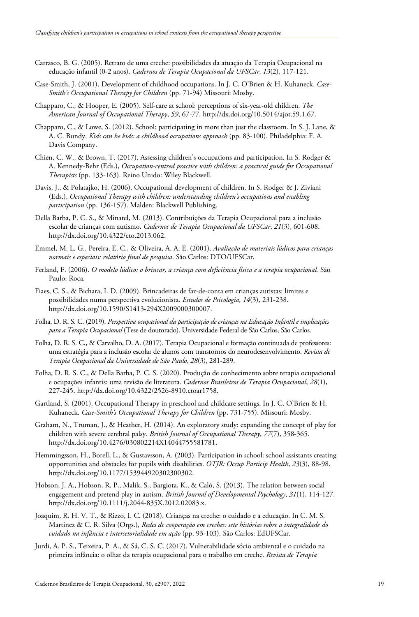- Carrasco, B. G. (2005). Retrato de uma creche: possibilidades da atuação da Terapia Ocupacional na educação infantil (0-2 anos). *Cadernos de Terapia Ocupacional da UFSCar*, *13*(2), 117-121.
- Case-Smith, J. (2001). Development of childhood occupations. In J. C. O'Brien & H. Kuhaneck. *Case-Smith's Occupational Therapy for Children* (pp. 71-94) Missouri: Mosby.
- Chapparo, C., & Hooper, E. (2005). Self-care at school: perceptions of six-year-old children. *The American Journal of Occupational Therapy*, *59*, 67-77. http://dx.doi.org/10.5014/ajot.59.1.67.
- Chapparo, C., & Lowe, S. (2012). School: participating in more than just the classroom. In S. J. Lane, & A. C. Bundy. *Kids can be kids: a childhood occupations approach* (pp. 83-100). Philadelphia: F. A. Davis Company.
- Chien, C. W., & Brown, T. (2017). Assessing children's occupations and participation. In S. Rodger & A. Kennedy-Behr (Eds.), *Occupation-centred practice with children: a practical guide for Occupational Therapists* (pp. 133-163). Reino Unido: Wiley Blackwell.
- Davis, J., & Polatajko, H. (2006). Occupational development of children. In S. Rodger & J. Ziviani (Eds.), *Occupational Therapy with children: understanding children's occupations and enabling participation* (pp. 136-157). Malden: Blackwell Publishing.
- Della Barba, P. C. S., & Minatel, M. (2013). Contribuições da Terapia Ocupacional para a inclusão escolar de crianças com autismo. *Cadernos de Terapia Ocupacional da UFSCar*, *21*(3), 601-608. http://dx.doi.org/10.4322/cto.2013.062.
- Emmel, M. L. G., Pereira, E. C., & Oliveira, A. A. E. (2001). *Avaliação de materiais lúdicos para crianças normais e especiais: relatório final de pesquisa*. São Carlos: DTO/UFSCar.
- Ferland, F. (2006). *O modelo lúdico: o brincar, a criança com deficiência física e a terapia ocupacional.* São Paulo: Roca.
- Fiaes, C. S., & Bichara, I. D. (2009). Brincadeiras de faz-de-conta em crianças autistas: limites e possibilidades numa perspectiva evolucionista. *Estudos de Psicologia*, *14*(3), 231-238. http://dx.doi.org/10.1590/S1413-294X2009000300007.
- Folha, D. R. S. C. (2019). *Perspectiva ocupacional da participação de crianças na Educação Infantil e implicações para a Terapia Ocupacional* (Tese de doutorado). Universidade Federal de São Carlos, São Carlos.
- Folha, D. R. S. C., & Carvalho, D. A. (2017). Terapia Ocupacional e formação continuada de professores: uma estratégia para a inclusão escolar de alunos com transtornos do neurodesenvolvimento. *Revista de Terapia Ocupacional da Universidade de São Paulo*, *28*(3), 281-289.
- Folha, D. R. S. C., & Della Barba, P. C. S. (2020). Produção de conhecimento sobre terapia ocupacional e ocupações infantis: uma revisão de literatura. *Cadernos Brasileiros de Terapia Ocupacional*, *28*(1), 227-245. http://dx.doi.org/10.4322/2526-8910.ctoar1758.
- Gartland, S. (2001). Occupational Therapy in preschool and childcare settings. In J. C. O'Brien & H. Kuhaneck. *Case-Smith's Occupational Therapy for Children* (pp. 731-755). Missouri: Mosby.
- Graham, N., Truman, J., & Heather, H. (2014). An exploratory study: expanding the concept of play for children with severe cerebral palsy. *British Journal of Occupational Therapy*, *77*(7), 358-365. http://dx.doi.org/10.4276/030802214X14044755581781.
- Hemmingsson, H., Borell, L., & Gustavsson, A. (2003). Participation in school: school assistants creating opportunities and obstacles for pupils with disabilities. *OTJR: Occup Particip Health*, *23*(3), 88-98. http://dx.doi.org/10.1177/153944920302300302.
- Hobson, J. A., Hobson, R. P., Malik, S., Bargiota, K., & Caló, S. (2013). The relation between social engagement and pretend play in autism. *British Journal of Developmental Psychology*, *31*(1), 114-127. http://dx.doi.org/10.1111/j.2044-835X.2012.02083.x.
- Joaquim, R. H. V. T., & Rizzo, I. C. (2018). Crianças na creche: o cuidado e a educação. In C. M. S. Martinez & C. R. Silva (Orgs.), *Redes de cooperação em creches: sete histórias sobre a integralidade do cuidado na infância e intersetorialidade em ação* (pp. 93-103). São Carlos: EdUFSCar.
- Jurdi, A. P. S., Teixeira, P. A., & Sá, C. S. C. (2017). Vulnerabilidade sócio ambiental e o cuidado na primeira infância: o olhar da terapia ocupacional para o trabalho em creche. *Revista de Terapia*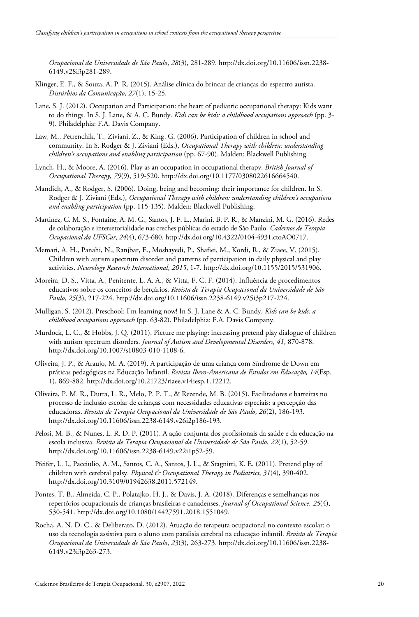*Ocupacional da Universidade de São Paulo*, *28*(3), 281-289. http://dx.doi.org/10.11606/issn.2238- 6149.v28i3p281-289.

- Klinger, E. F., & Souza, A. P. R. (2015). Análise clínica do brincar de crianças do espectro autista. *Distúrbios da Comunicação*, *27*(1), 15-25.
- Lane, S. J. (2012). Occupation and Participation: the heart of pediatric occupational therapy: Kids want to do things. In S. J. Lane, & A. C. Bundy. *Kids can be kids: a childhood occupations approach* (pp. 3- 9). Philadelphia: F.A. Davis Company.
- Law, M., Petrenchik, T., Ziviani, Z., & King, G. (2006). Participation of children in school and community. In S. Rodger & J. Ziviani (Eds.), *Occupational Therapy with children: understanding children's occupations and enabling participation* (pp. 67-90). Malden: Blackwell Publishing.
- Lynch, H., & Moore, A. (2016). Play as an occupation in occupational therapy. *British Journal of Occupational Therapy*, *79*(9), 519-520. http://dx.doi.org/10.1177/0308022616664540.
- Mandich, A., & Rodger, S. (2006). Doing, being and becoming: their importance for children. In S. Rodger & J. Ziviani (Eds.), *Occupational Therapy with children: understanding children's occupations and enabling participation* (pp. 115-135). Malden: Blackwell Publishing.
- Martinez, C. M. S., Fontaine, A. M. G., Santos, J. F. L., Marini, B. P. R., & Manzini, M. G. (2016). Redes de colaboração e intersetorialidade nas creches públicas do estado de São Paulo. *Cadernos de Terapia Ocupacional da UFSCar*, *24*(4), 673-680. http://dx.doi.org/10.4322/0104-4931.ctoAO0717.
- Memari, A. H., Panahi, N., Ranjbar, E., Moshayedi, P., Shafiei, M., Kordi, R., & Ziaee, V. (2015). Children with autism spectrum disorder and patterns of participation in daily physical and play activities. *Neurology Research International*, *2015*, 1-7. http://dx.doi.org/10.1155/2015/531906.
- Moreira, D. S., Vitta, A., Penitente, L. A. A., & Vitta, F. C. F. (2014). Influência de procedimentos educativos sobre os conceitos de berçários. *Revista de Terapia Ocupacional da Universidade de São Paulo*, *25*(3), 217-224. http://dx.doi.org/10.11606/issn.2238-6149.v25i3p217-224.
- Mulligan, S. (2012). Preschool: I'm learning now! In S. J. Lane & A. C. Bundy. *Kids can be kids: a childhood occupations approach* (pp. 63-82). Philadelphia: F.A. Davis Company.
- Murdock, L. C., & Hobbs, J. Q. (2011). Picture me playing: increasing pretend play dialogue of children with autism spectrum disorders. *Journal of Autism and Developmental Disorders*, *41*, 870-878. http://dx.doi.org/10.1007/s10803-010-1108-6.
- Oliveira, J. P., & Araujo, M. A. (2019). A participação de uma criança com Síndrome de Down em práticas pedagógicas na Educação Infantil. *Revista Ibero-Americana de Estudos em Educação, 14*(Esp. 1), 869-882. http://dx.doi.org/10.21723/riaee.v14iesp.1.12212.
- Oliveira, P. M. R., Dutra, L. R., Melo, P. P. T., & Rezende, M. B. (2015). Facilitadores e barreiras no processo de inclusão escolar de crianças com necessidades educativas especiais: a percepção das educadoras. *Revista de Terapia Ocupacional da Universidade de São Paulo*, *26*(2), 186-193. http://dx.doi.org/10.11606/issn.2238-6149.v26i2p186-193.
- Pelosi, M. B., & Nunes, L. R. D. P. (2011). A ação conjunta dos profissionais da saúde e da educação na escola inclusiva. *Revista de Terapia Ocupacional da Universidade de São Paulo*, *22*(1), 52-59. http://dx.doi.org/10.11606/issn.2238-6149.v22i1p52-59.
- Pfeifer, L. I., Pacciulio, A. M., Santos, C. A., Santos, J. L., & Stagnitti, K. E. (2011). Pretend play of children with cerebral palsy. *Physical & Occupational Therapy in Pediatrics*, *31*(4), 390-402. http://dx.doi.org/10.3109/01942638.2011.572149.
- Pontes, T. B., Almeida, C. P., Polatajko, H. J., & Davis, J. A. (2018). Diferenças e semelhanças nos repertórios ocupacionais de crianças brasileiras e canadenses. *Journal of Occupational Science, 25*(4), 530-541. http://dx.doi.org/10.1080/14427591.2018.1551049.
- Rocha, A. N. D. C., & Deliberato, D. (2012). Atuação do terapeuta ocupacional no contexto escolar: o uso da tecnologia assistiva para o aluno com paralisia cerebral na educação infantil. *Revista de Terapia Ocupacional da Universidade de São Paulo*, *23*(3), 263-273. http://dx.doi.org/10.11606/issn.2238- 6149.v23i3p263-273.